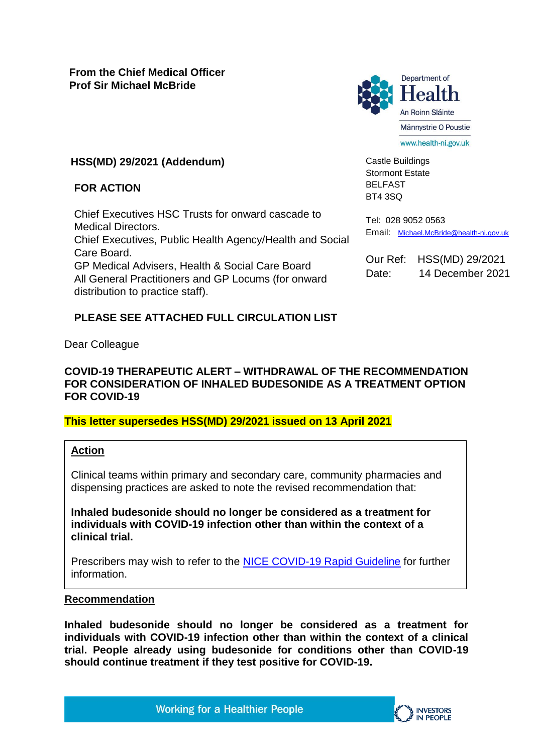## **HSS(MD) 29/2021 (Addendum)**

#### **FOR ACTION**

Chief Executives HSC Trusts for onward cascade to Medical Directors. Chief Executives, Public Health Agency/Health and Social Care Board. GP Medical Advisers, Health & Social Care Board All General Practitioners and GP Locums (for onward distribution to practice staff).

## **PLEASE SEE ATTACHED FULL CIRCULATION LIST**

Dear Colleague

### **COVID-19 THERAPEUTIC ALERT – WITHDRAWAL OF THE RECOMMENDATION FOR CONSIDERATION OF INHALED BUDESONIDE AS A TREATMENT OPTION FOR COVID-19**

## **This letter supersedes HSS(MD) 29/2021 issued on 13 April 2021**

#### **Action**

Clinical teams within primary and secondary care, community pharmacies and dispensing practices are asked to note the revised recommendation that:

**Inhaled budesonide should no longer be considered as a treatment for individuals with COVID-19 infection other than within the context of a clinical trial.** 

Prescribers may wish to refer to the [NICE COVID-19 Rapid Guideline](https://www.nice.org.uk/guidance/ng191/resources/covid19-rapid-guideline-managing-covid19-pdf-51035553326) for further information.

#### **Recommendation**

**Inhaled budesonide should no longer be considered as a treatment for individuals with COVID-19 infection other than within the context of a clinical trial. People already using budesonide for conditions other than COVID-19 should continue treatment if they test positive for COVID-19.**

Castle Buildings Stormont Estate BELFAST BT4 3SQ

Tel: 028 9052 0563 Email: [Michael.McBride@health-ni.gov.uk](mailto:Michael.McBride@health-ni.gov.uk)

Our Ref: HSS(MD) 29/2021 Date: 14 December 2021

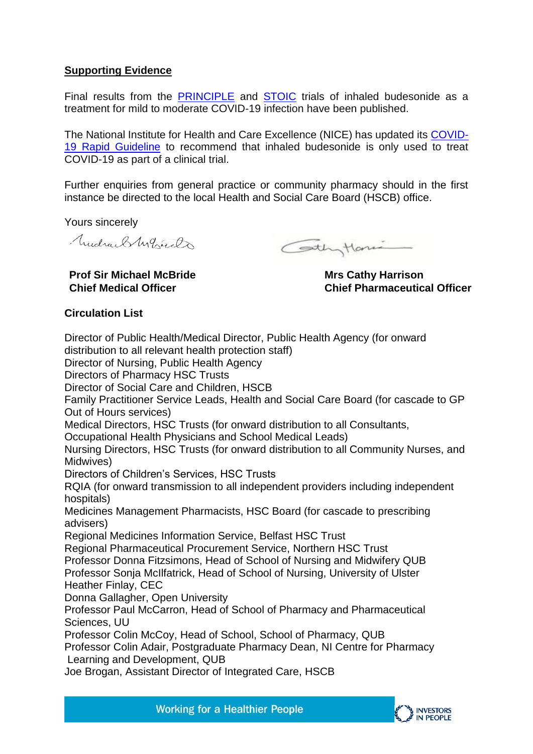## **Supporting Evidence**

Final results from the [PRINCIPLE](https://www.thelancet.com/journals/lancet/article/PIIS0140-6736(21)01744-X/fulltext) and [STOIC](https://www.thelancet.com/article/S2213-2600(21)00160-0/fulltext) trials of inhaled budesonide as a treatment for mild to moderate COVID-19 infection have been published.

The National Institute for Health and Care Excellence (NICE) has updated its [COVID-](https://www.nice.org.uk/guidance/ng191/resources/covid19-rapid-guideline-managing-covid19-pdf-51035553326)[19 Rapid Guideline](https://www.nice.org.uk/guidance/ng191/resources/covid19-rapid-guideline-managing-covid19-pdf-51035553326) to recommend that inhaled budesonide is only used to treat COVID-19 as part of a clinical trial.

Further enquiries from general practice or community pharmacy should in the first instance be directed to the local Health and Social Care Board (HSCB) office.

Yours sincerely

Trudra, SM, Grand

**Prof Sir Michael McBride**

Cothytoni

**Mrs Cathy Harrison Chief Pharmaceutical Officer**

# **Chief Medical Officer Circulation List**

Director of Public Health/Medical Director, Public Health Agency (for onward distribution to all relevant health protection staff) Director of Nursing, Public Health Agency Directors of Pharmacy HSC Trusts Director of Social Care and Children, HSCB Family Practitioner Service Leads, Health and Social Care Board (for cascade to GP Out of Hours services) Medical Directors, HSC Trusts (for onward distribution to all Consultants, Occupational Health Physicians and School Medical Leads) Nursing Directors, HSC Trusts (for onward distribution to all Community Nurses, and Midwives) Directors of Children's Services, HSC Trusts RQIA (for onward transmission to all independent providers including independent hospitals) Medicines Management Pharmacists, HSC Board (for cascade to prescribing advisers) Regional Medicines Information Service, Belfast HSC Trust Regional Pharmaceutical Procurement Service, Northern HSC Trust Professor Donna Fitzsimons, Head of School of Nursing and Midwifery QUB Professor Sonja McIlfatrick, Head of School of Nursing, University of Ulster Heather Finlay, CEC Donna Gallagher, Open University Professor Paul McCarron, Head of School of Pharmacy and Pharmaceutical Sciences, UU Professor Colin McCoy, Head of School, School of Pharmacy, QUB Professor Colin Adair, Postgraduate Pharmacy Dean, NI Centre for Pharmacy Learning and Development, QUB Joe Brogan, Assistant Director of Integrated Care, HSCB